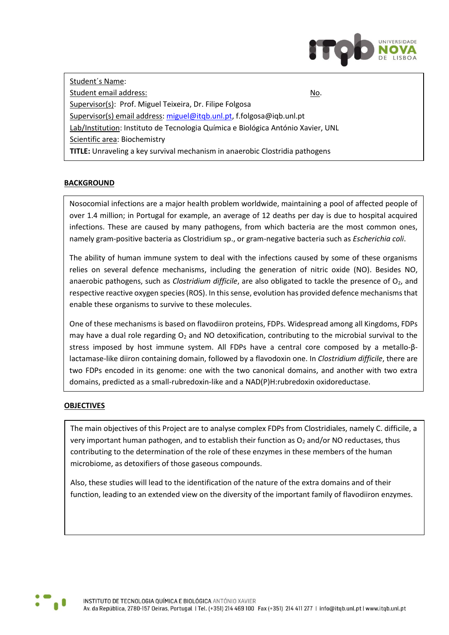

Student´s Name: Student email address: No. 2008 and 2008 and 2008 and 2008 and 2008 and 2008 and 2008 and 2008 and 2008 and 20 Supervisor(s): Prof. Miguel Teixeira, Dr. Filipe Folgosa Supervisor(s) email address[: miguel@itqb.unl.pt,](mailto:miguel@itqb.unl.pt) f.folgosa@iqb.unl.pt Lab/Institution: Instituto de Tecnologia Química e Biológica António Xavier, UNL Scientific area: Biochemistry **TITLE:** Unraveling a key survival mechanism in anaerobic Clostridia pathogens

## **BACKGROUND**

Nosocomial infections are a major health problem worldwide, maintaining a pool of affected people of over 1.4 million; in Portugal for example, an average of 12 deaths per day is due to hospital acquired infections. These are caused by many pathogens, from which bacteria are the most common ones, namely gram-positive bacteria as Clostridium sp., or gram-negative bacteria such as *Escherichia coli*.

The ability of human immune system to deal with the infections caused by some of these organisms relies on several defence mechanisms, including the generation of nitric oxide (NO). Besides NO, anaerobic pathogens, such as *Clostridium difficile*, are also obligated to tackle the presence of O<sub>2</sub>, and respective reactive oxygen species (ROS). In this sense, evolution has provided defence mechanisms that enable these organisms to survive to these molecules.

One of these mechanisms is based on flavodiiron proteins, FDPs. Widespread among all Kingdoms, FDPs may have a dual role regarding  $O<sub>2</sub>$  and NO detoxification, contributing to the microbial survival to the stress imposed by host immune system. All FDPs have a central core composed by a metallo-βlactamase-like diiron containing domain, followed by a flavodoxin one. In *Clostridium difficile*, there are two FDPs encoded in its genome: one with the two canonical domains, and another with two extra domains, predicted as a small-rubredoxin-like and a NAD(P)H:rubredoxin oxidoreductase.

## **OBJECTIVES**

The main objectives of this Project are to analyse complex FDPs from Clostridiales, namely C. difficile, a very important human pathogen, and to establish their function as  $O<sub>2</sub>$  and/or NO reductases, thus contributing to the determination of the role of these enzymes in these members of the human microbiome, as detoxifiers of those gaseous compounds.

Also, these studies will lead to the identification of the nature of the extra domains and of their function, leading to an extended view on the diversity of the important family of flavodiiron enzymes.